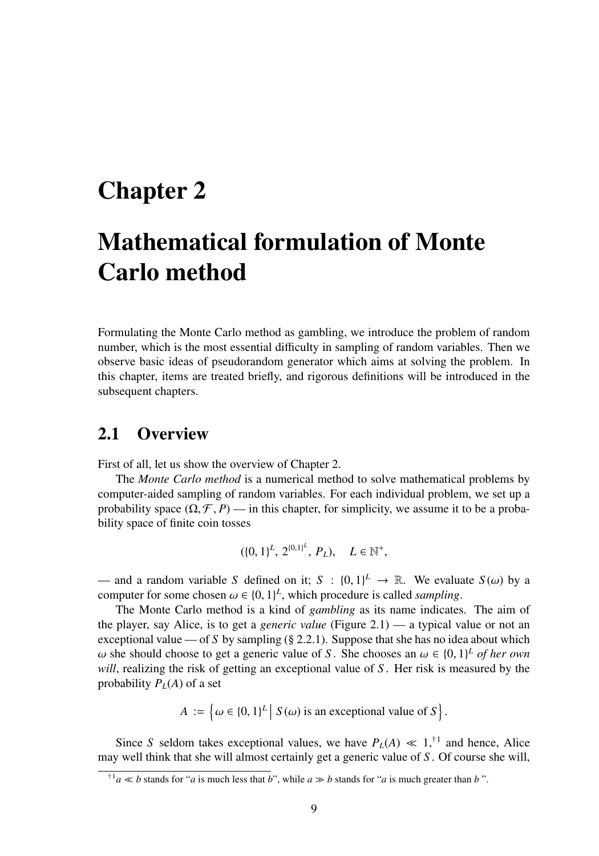## Chapter 2

# Mathematical formulation of Monte Carlo method

Formulating the Monte Carlo method as gambling, we introduce the problem of random number, which is the most essential difficulty in sampling of random variables. Then we observe basic ideas of pseudorandom generator which aims at solving the problem. In this chapter, items are treated briefly, and rigorous definitions will be introduced in the subsequent chapters.

## 2.1 Overview

First of all, let us show the overview of Chapter 2.

The *Monte Carlo method* is a numerical method to solve mathematical problems by computer-aided sampling of random variables. For each individual problem, we set up a probability space  $(\Omega, \mathcal{F}, P)$  — in this chapter, for simplicity, we assume it to be a probability space of finite coin tosses

$$
(\{0,1\}^L, 2^{\{0,1\}^L}, P_L), \quad L \in \mathbb{N}^+,
$$

— and a random variable *S* defined on it;  $S : \{0, 1\}^L \to \mathbb{R}$ . We evaluate  $S(\omega)$  by a computer for some chosen  $\omega \in \{0, 1\}^L$ , which procedure is called *sampling*.

The Monte Carlo method is a kind of *gambling* as its name indicates. The aim of the player, say Alice, is to get a *generic value* (Figure 2.1) — a typical value or not an exceptional value — of *S* by sampling (§ 2.2.1). Suppose that she has no idea about which  $ω$  she should choose to get a generic value of *S*. She chooses an  $ω ∈ {0, 1}<sup>L</sup>$  *of her own will*, realizing the risk of getting an exceptional value of *S* . Her risk is measured by the probability  $P_L(A)$  of a set

$$
A := \left\{ \omega \in \{0,1\}^L \mid S(\omega) \text{ is an exceptional value of } S \right\}.
$$

Since *S* seldom takes exceptional values, we have  $P_L(A) \ll 1$ ,<sup>†1</sup> and hence, Alice may well think that she will almost certainly get a generic value of *S* . Of course she will,

<sup>&</sup>lt;sup>†1</sup> $a \ll b$  stands for "*a* is much less that *b*", while  $a \gg b$  stands for "*a* is much greater than *b*".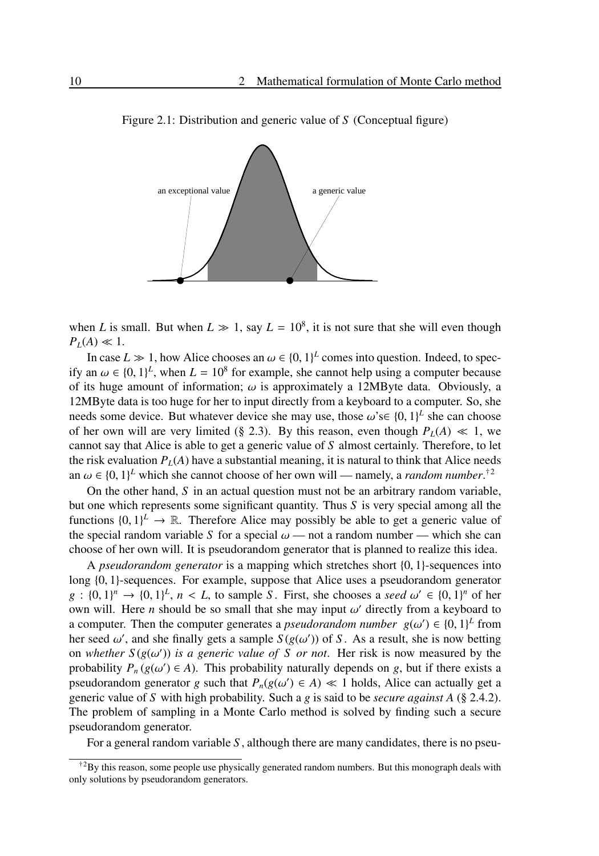

Figure 2.1: Distribution and generic value of *S* (Conceptual figure)

when *L* is small. But when  $L \gg 1$ , say  $L = 10^8$ , it is not sure that she will even though  $P_L(A) \ll 1$ .

In case  $L \gg 1$ , how Alice chooses an  $\omega \in \{0, 1\}^L$  comes into question. Indeed, to specify an  $\omega \in \{0, 1\}^L$ , when  $L = 10^8$  for example, she cannot help using a computer because of its huge amount of information;  $\omega$  is approximately a 12MByte data. Obviously, a 12MByte data is too huge for her to input directly from a keyboard to a computer. So, she needs some device. But whatever device she may use, those  $\omega$ 's $\in \{0, 1\}^L$  she can choose of her own will are very limited (§ 2.3). By this reason, even though  $P_L(A) \ll 1$ , we cannot say that Alice is able to get a generic value of *S* almost certainly. Therefore, to let the risk evaluation  $P_L(A)$  have a substantial meaning, it is natural to think that Alice needs an  $\omega \in \{0, 1\}^L$  which she cannot choose of her own will — namely, a *random number*.<sup>†2</sup>

On the other hand, *S* in an actual question must not be an arbitrary random variable, but one which represents some significant quantity. Thus *S* is very special among all the functions  $\{0, 1\}^L \to \mathbb{R}$ . Therefore Alice may possibly be able to get a generic value of the special random variable *S* for a special  $\omega$  — not a random number — which she can choose of her own will. It is pseudorandom generator that is planned to realize this idea.

A *pseudorandom generator* is a mapping which stretches short {0, 1}-sequences into long {0, 1}-sequences. For example, suppose that Alice uses a pseudorandom generator  $g : \{0, 1\}^n \to \{0, 1\}^L$ ,  $n < L$ , to sample *S*. First, she chooses a *seed*  $\omega' \in \{0, 1\}^n$  of her own will. Here *n* should be so small that she may input  $\omega'$  directly from a keyboard to a computer. Then the computer generates a *pseudorandom number*  $g(\omega') \in \{0, 1\}^L$  from her seed  $\omega'$ , and she finally gets a sample  $S(g(\omega'))$  of *S*. As a result, she is now betting on *whether*  $S(g(\omega'))$  *is a generic value of* S *or not*. Her risk is now measured by the probability  $P_n(g(\omega') \in A)$ . This probability naturally depends on *g*, but if there exists a pseudorandom generator *g* such that  $P_n(g(\omega') \in A) \ll 1$  holds, Alice can actually get a generic value of *S* with high probability. Such a *g* is said to be *secure against A* (§ 2.4.2). The problem of sampling in a Monte Carlo method is solved by finding such a secure pseudorandom generator.

For a general random variable *S* , although there are many candidates, there is no pseu-

 $\text{A}^2$ By this reason, some people use physically generated random numbers. But this monograph deals with only solutions by pseudorandom generators.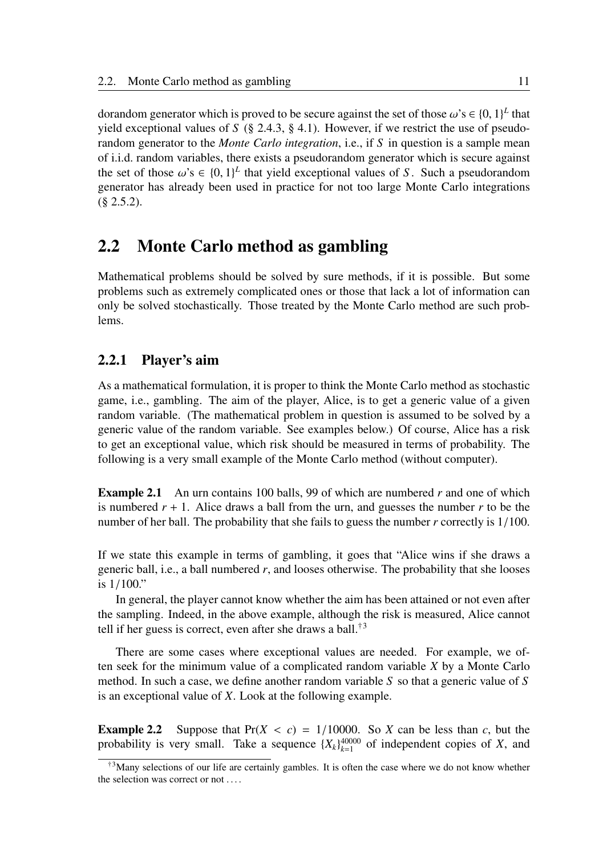dorandom generator which is proved to be secure against the set of those  $\omega$ 's  $\in \{0, 1\}^L$  that yield exceptional values of  $S$  (§ 2.4.3, § 4.1). However, if we restrict the use of pseudorandom generator to the *Monte Carlo integration*, i.e., if *S* in question is a sample mean of i.i.d. random variables, there exists a pseudorandom generator which is secure against the set of those  $\omega$ 's  $\in \{0, 1\}^L$  that yield exceptional values of *S*. Such a pseudorandom generator has already been used in practice for not too large Monte Carlo integrations  $(\S$  2.5.2).

## 2.2 Monte Carlo method as gambling

Mathematical problems should be solved by sure methods, if it is possible. But some problems such as extremely complicated ones or those that lack a lot of information can only be solved stochastically. Those treated by the Monte Carlo method are such problems.

#### 2.2.1 Player's aim

As a mathematical formulation, it is proper to think the Monte Carlo method as stochastic game, i.e., gambling. The aim of the player, Alice, is to get a generic value of a given random variable. (The mathematical problem in question is assumed to be solved by a generic value of the random variable. See examples below.) Of course, Alice has a risk to get an exceptional value, which risk should be measured in terms of probability. The following is a very small example of the Monte Carlo method (without computer).

Example 2.1 An urn contains 100 balls, 99 of which are numbered *r* and one of which is numbered  $r + 1$ . Alice draws a ball from the urn, and guesses the number r to be the number of her ball. The probability that she fails to guess the number *r* correctly is 1/100.

If we state this example in terms of gambling, it goes that "Alice wins if she draws a generic ball, i.e., a ball numbered *r*, and looses otherwise. The probability that she looses is 1/100."

In general, the player cannot know whether the aim has been attained or not even after the sampling. Indeed, in the above example, although the risk is measured, Alice cannot tell if her guess is correct, even after she draws a ball.<sup>†3</sup>

There are some cases where exceptional values are needed. For example, we often seek for the minimum value of a complicated random variable *X* by a Monte Carlo method. In such a case, we define another random variable *S* so that a generic value of *S* is an exceptional value of *X*. Look at the following example.

**Example 2.2** Suppose that  $Pr(X < c) = \frac{1}{10000}$ . So *X* can be less than *c*, but the probability is very small. Take a sequence  ${X_k}_{k=1}^{40000}$  of independent copies of *X*, and

 $\text{A}^3$ Many selections of our life are certainly gambles. It is often the case where we do not know whether the selection was correct or not . . . .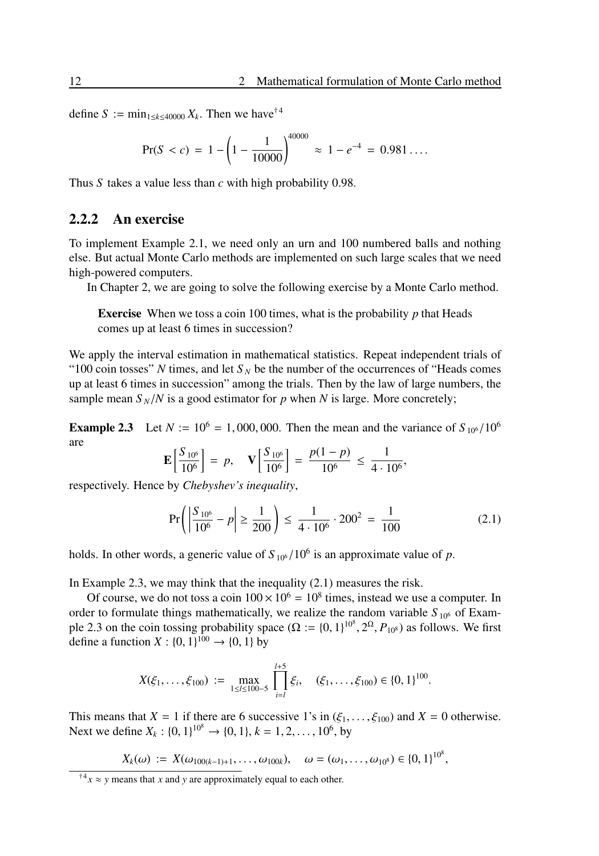define  $S := \min_{1 \leq k \leq 40000} X_k$ . Then we have<sup>†4</sup>

$$
Pr(S < c) = 1 - \left(1 - \frac{1}{10000}\right)^{40000} \approx 1 - e^{-4} = 0.981\dots.
$$

Thus *S* takes a value less than *c* with high probability 0.98.

#### 2.2.2 An exercise

To implement Example 2.1, we need only an urn and 100 numbered balls and nothing else. But actual Monte Carlo methods are implemented on such large scales that we need high-powered computers.

In Chapter 2, we are going to solve the following exercise by a Monte Carlo method.

Exercise When we toss a coin 100 times, what is the probability *p* that Heads comes up at least 6 times in succession?

We apply the interval estimation in mathematical statistics. Repeat independent trials of "100 coin tosses" *N* times, and let  $S_N$  be the number of the occurrences of "Heads comes" up at least 6 times in succession" among the trials. Then by the law of large numbers, the sample mean  $S_N/N$  is a good estimator for *p* when *N* is large. More concretely;

**Example 2.3** Let  $N := 10^6 = 1,000,000$ . Then the mean and the variance of  $S_{10^6}/10^6$ are  $\overline{a}$ *p* 

$$
\mathbf{E}\left[\frac{S_{10^6}}{10^6}\right] = p, \quad \mathbf{V}\left[\frac{S_{10^6}}{10^6}\right] = \frac{p(1-p)}{10^6} \le \frac{1}{4 \cdot 10^6},
$$

respectively. Hence by *Chebyshev's inequality*,

$$
\Pr\left(\left|\frac{S_{10^6}}{10^6} - p\right| \ge \frac{1}{200}\right) \le \frac{1}{4 \cdot 10^6} \cdot 200^2 = \frac{1}{100}
$$
 (2.1)

holds. In other words, a generic value of  $S_{10^6}/10^6$  is an approximate value of p.

In Example 2.3, we may think that the inequality (2.1) measures the risk.

Of course, we do not toss a coin  $100 \times 10^6 = 10^8$  times, instead we use a computer. In order to formulate things mathematically, we realize the random variable  $S_{10^6}$  of Example 2.3 on the coin tossing probability space  $(\Omega := \{0, 1\}^{10^8}, 2^{\Omega}, P_{10^8})$  as follows. We first define a function *X* :  $\{0, 1\}^{100} \to \{0, 1\}$  by

$$
X(\xi_1,\ldots,\xi_{100})\;:=\;\max_{1\leq i\leq 100-5}\;\prod_{i=l}^{l+5}\xi_i,\quad (\xi_1,\ldots,\xi_{100})\in\{0,1\}^{100}.
$$

This means that  $X = 1$  if there are 6 successive 1's in  $(\xi_1, \dots, \xi_{100})$  and  $X = 0$  otherwise. Next we define  $X_k : \{0, 1\}^{10^8} \to \{0, 1\}, k = 1, 2, ..., 10^6$ , by

$$
X_k(\omega) := X(\omega_{100(k-1)+1},\ldots,\omega_{100k}), \quad \omega = (\omega_1,\ldots,\omega_{10^8}) \in \{0,1\}^{10^8},
$$

<sup>&</sup>lt;sup>†4</sup> $x \approx y$  means that *x* and *y* are approximately equal to each other.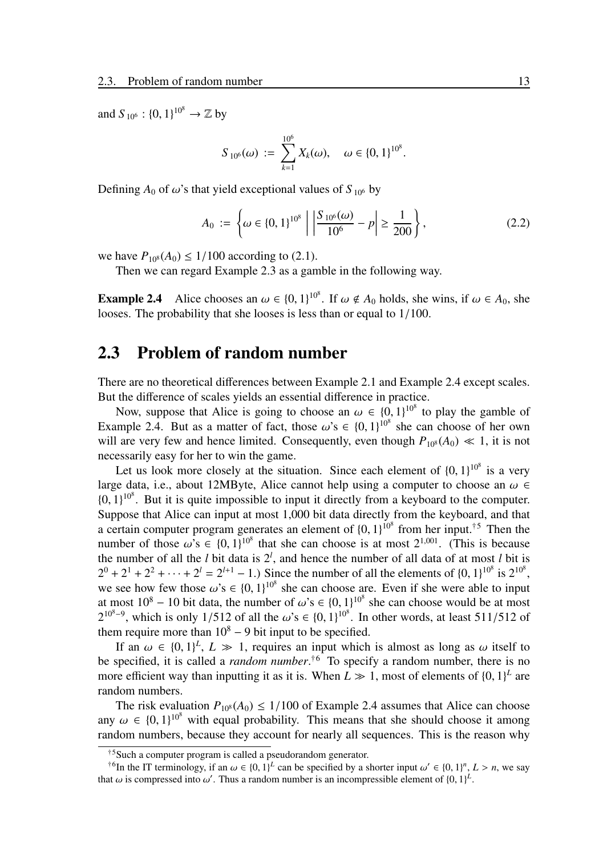and  $S_{10^6}$  :  $\{0, 1\}^{10^8} \rightarrow \mathbb{Z}$  by

$$
S_{10^6}(\omega) := \sum_{k=1}^{10^6} X_k(\omega), \quad \omega \in \{0, 1\}^{10^8}.
$$

Defining  $A_0$  of  $\omega$ 's that yield exceptional values of  $S_{10^6}$  by

$$
A_0 := \left\{ \omega \in \{0, 1\}^{10^8} \; \middle| \; \left| \frac{S_{10^6}(\omega)}{10^6} - p \right| \ge \frac{1}{200} \right\},\tag{2.2}
$$

we have  $P_{10^8}(A_0) \le 1/100$  according to (2.1).

Then we can regard Example 2.3 as a gamble in the following way.

**Example 2.4** Alice chooses an  $\omega \in \{0, 1\}^{10^8}$ . If  $\omega \notin A_0$  holds, she wins, if  $\omega \in A_0$ , she looses. The probability that she looses is less than or equal to 1/100.

## 2.3 Problem of random number

There are no theoretical differences between Example 2.1 and Example 2.4 except scales. But the difference of scales yields an essential difference in practice.

Now, suppose that Alice is going to choose an  $\omega \in \{0,1\}^{10^8}$  to play the gamble of Example 2.4. But as a matter of fact, those  $\omega$ 's  $\in \{0, 1\}^{10^8}$  she can choose of her own will are very few and hence limited. Consequently, even though  $P_{108}(A_0) \ll 1$ , it is not necessarily easy for her to win the game.

Let us look more closely at the situation. Since each element of  $\{0, 1\}^{10^8}$  is a very large data, i.e., about 12MByte, Alice cannot help using a computer to choose an  $\omega \in$  ${0, 1}^{10^8}$ . But it is quite impossible to input it directly from a keyboard to the computer. Suppose that Alice can input at most 1,000 bit data directly from the keyboard, and that a certain computer program generates an element of  ${0, 1}^{10^8}$  from her input.<sup>†5</sup> Then the number of those  $\omega$ 's  $\in \{0, 1\}^{10^8}$  that she can choose is at most  $2^{1,001}$ . (This is because the number of all the *l* bit data is 2*<sup>l</sup>* , and hence the number of all data of at most *l* bit is  $2^0 + 2^1 + 2^2 + \cdots + 2^l = 2^{l+1} - 1$ .) Since the number of all the elements of  $\{0, 1\}^{10^8}$  is  $2^{10^8}$ , we see how few those  $\omega$ 's  $\in \{0, 1\}^{10^8}$  she can choose are. Even if she were able to input at most  $10^8 - 10$  bit data, the number of  $\omega$ 's  $\in \{0, 1\}^{10^8}$  she can choose would be at most  $2^{10^{8}-9}$ , which is only 1/512 of all the  $\omega$ 's  $\in \{0, 1\}^{10^{8}}$ . In other words, at least 511/512 of them require more than  $10^8 - 9$  bit input to be specified.

If an  $\omega \in \{0,1\}^L$ ,  $L \gg 1$ , requires an input which is almost as long as  $\omega$  itself to be specified, it is called a *random number*. †<sup>6</sup> To specify a random number, there is no more efficient way than inputting it as it is. When  $L \gg 1$ , most of elements of  $\{0, 1\}^L$  are random numbers.

The risk evaluation  $P_{10^8}(A_0) \le 1/100$  of Example 2.4 assumes that Alice can choose any  $\omega \in \{0, 1\}^{10^8}$  with equal probability. This means that she should choose it among random numbers, because they account for nearly all sequences. This is the reason why

<sup>†</sup><sup>5</sup>Such a computer program is called a pseudorandom generator.

<sup>&</sup>lt;sup>†6</sup>In the IT terminology, if an  $\omega \in \{0, 1\}^L$  can be specified by a shorter input  $\omega' \in \{0, 1\}^n$ ,  $L > n$ , we say that  $\omega$  is compressed into  $\omega'$ . Thus a random number is an incompressible element of  $\{0, 1\}^L$ .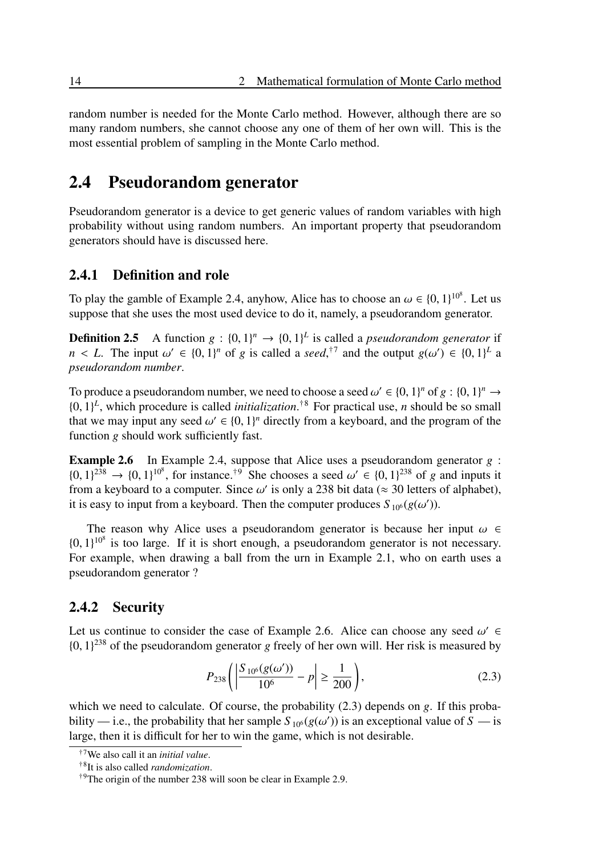random number is needed for the Monte Carlo method. However, although there are so many random numbers, she cannot choose any one of them of her own will. This is the most essential problem of sampling in the Monte Carlo method.

## 2.4 Pseudorandom generator

Pseudorandom generator is a device to get generic values of random variables with high probability without using random numbers. An important property that pseudorandom generators should have is discussed here.

#### 2.4.1 Definition and role

To play the gamble of Example 2.4, anyhow, Alice has to choose an  $\omega \in \{0, 1\}^{10^8}$ . Let us suppose that she uses the most used device to do it, namely, a pseudorandom generator.

**Definition 2.5** A function  $g : \{0, 1\}^n \rightarrow \{0, 1\}^L$  is called a *pseudorandom generator* if  $n < L$ . The input  $\omega' \in \{0, 1\}^n$  of *g* is called a *seed*,<sup>†7</sup> and the output  $g(\omega') \in \{0, 1\}^L$  a *pseudorandom number*.

To produce a pseudorandom number, we need to choose a seed  $\omega' \in \{0, 1\}^n$  of  $g : \{0, 1\}^n \to$  $\{0, 1\}^L$ , which procedure is called *initialization*.<sup>†8</sup> For practical use, *n* should be so small that we may input any seed  $\omega' \in \{0, 1\}^n$  directly from a keyboard, and the program of the function *g* should work sufficiently fast.

Example 2.6 In Example 2.4, suppose that Alice uses a pseudorandom generator *g* :  $\{0, 1\}^{238} \rightarrow \{0, 1\}^{10^8}$ , for instance.<sup>†9</sup> She chooses a seed  $\omega' \in \{0, 1\}^{238}$  of *g* and inputs it from a keyboard to a computer. Since  $\omega'$  is only a 238 bit data ( $\approx$  30 letters of alphabet), it is easy to input from a keyboard. Then the computer produces  $S_{10^6}(g(\omega'))$ .

The reason why Alice uses a pseudorandom generator is because her input  $\omega \in$  $\{0, 1\}^{10^8}$  is too large. If it is short enough, a pseudorandom generator is not necessary. For example, when drawing a ball from the urn in Example 2.1, who on earth uses a pseudorandom generator ?

#### 2.4.2 Security

Let us continue to consider the case of Example 2.6. Alice can choose any seed  $\omega' \in$  $\{0, 1\}^{238}$  of the pseudorandom generator *g* freely of her own will. Her risk is measured by

$$
P_{238}\left(\left|\frac{S_{10^6}(g(\omega'))}{10^6} - p\right| \ge \frac{1}{200}\right),\tag{2.3}
$$

which we need to calculate. Of course, the probability (2.3) depends on *g*. If this probability — i.e., the probability that her sample  $S_{10^6}(g(\omega'))$  is an exceptional value of  $S$  — is large, then it is difficult for her to win the game, which is not desirable.

<sup>†</sup><sup>7</sup>We also call it an *initial value*.

<sup>†</sup>8 It is also called *randomization*.

<sup>†</sup>9The origin of the number 238 will soon be clear in Example 2.9.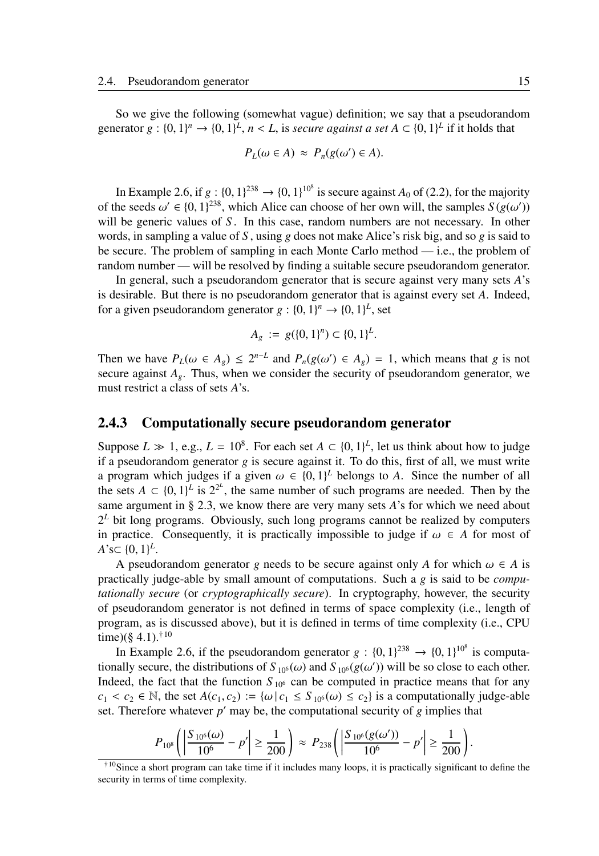So we give the following (somewhat vague) definition; we say that a pseudorandom generator  $g: \{0, 1\}^n \to \{0, 1\}^L$ ,  $n < L$ , is *secure against a set*  $A \subset \{0, 1\}^L$  if it holds that

$$
P_L(\omega \in A) \approx P_n(g(\omega') \in A).
$$

In Example 2.6, if  $g: \{0, 1\}^{238} \rightarrow \{0, 1\}^{10^8}$  is secure against  $A_0$  of (2.2), for the majority of the seeds  $\omega' \in \{0, 1\}^{238}$ , which Alice can choose of her own will, the samples  $S(g(\omega'))$ will be generic values of *S*. In this case, random numbers are not necessary. In other words, in sampling a value of *S* , using *g* does not make Alice's risk big, and so *g* is said to be secure. The problem of sampling in each Monte Carlo method — i.e., the problem of random number — will be resolved by finding a suitable secure pseudorandom generator.

In general, such a pseudorandom generator that is secure against very many sets *A*'s is desirable. But there is no pseudorandom generator that is against every set *A*. Indeed, for a given pseudorandom generator  $g : \{0, 1\}^n \to \{0, 1\}^L$ , set

$$
A_g := g(\{0,1\}^n) \subset \{0,1\}^L.
$$

Then we have  $P_L(\omega \in A_g) \leq 2^{n-L}$  and  $P_n(g(\omega') \in A_g) = 1$ , which means that *g* is not secure against  $A_g$ . Thus, when we consider the security of pseudorandom generator, we must restrict a class of sets *A*'s.

#### 2.4.3 Computationally secure pseudorandom generator

Suppose  $L \gg 1$ , e.g.,  $L = 10^8$ . For each set  $A \subset \{0, 1\}^L$ , let us think about how to judge if a pseudorandom generator  $g$  is secure against it. To do this, first of all, we must write a program which judges if a given  $\omega \in \{0,1\}^L$  belongs to A. Since the number of all the sets  $A \subset \{0, 1\}^L$  is  $2^{2^L}$ , the same number of such programs are needed. Then by the same argument in § 2.3, we know there are very many sets *A*'s for which we need about  $2<sup>L</sup>$  bit long programs. Obviously, such long programs cannot be realized by computers in practice. Consequently, it is practically impossible to judge if  $\omega \in A$  for most of  $A$ <sup>2</sup>s $\subset \{0, 1\}^L$ .

A pseudorandom generator *g* needs to be secure against only *A* for which  $\omega \in A$  is practically judge-able by small amount of computations. Such a *g* is said to be *computationally secure* (or *cryptographically secure*). In cryptography, however, the security of pseudorandom generator is not defined in terms of space complexity (i.e., length of program, as is discussed above), but it is defined in terms of time complexity (i.e., CPU time)(§ 4.1). $^{\dagger 10}$ 

In Example 2.6, if the pseudorandom generator  $g: \{0, 1\}^{238} \rightarrow \{0, 1\}^{10^8}$  is computationally secure, the distributions of  $S_{10^6}(\omega)$  and  $S_{10^6}(g(\omega'))$  will be so close to each other. Indeed, the fact that the function  $S_{10^6}$  can be computed in practice means that for any  $c_1 < c_2 \in \mathbb{N}$ , the set  $A(c_1, c_2) := \{ \omega \mid c_1 \le S_{10^6}(\omega) \le c_2 \}$  is a computationally judge-able set. Therefore whatever  $p'$  may be, the computational security of  $g$  implies that

$$
P_{10^8}\left(\left|\frac{S_{10^6}(\omega)}{10^6}-p'\right|\geq\frac{1}{200}\right)\approx P_{238}\left(\left|\frac{S_{10^6}(g(\omega'))}{10^6}-p'\right|\geq\frac{1}{200}\right).
$$

<sup>†</sup><sup>10</sup>Since a short program can take time if it includes many loops, it is practically significant to define the security in terms of time complexity.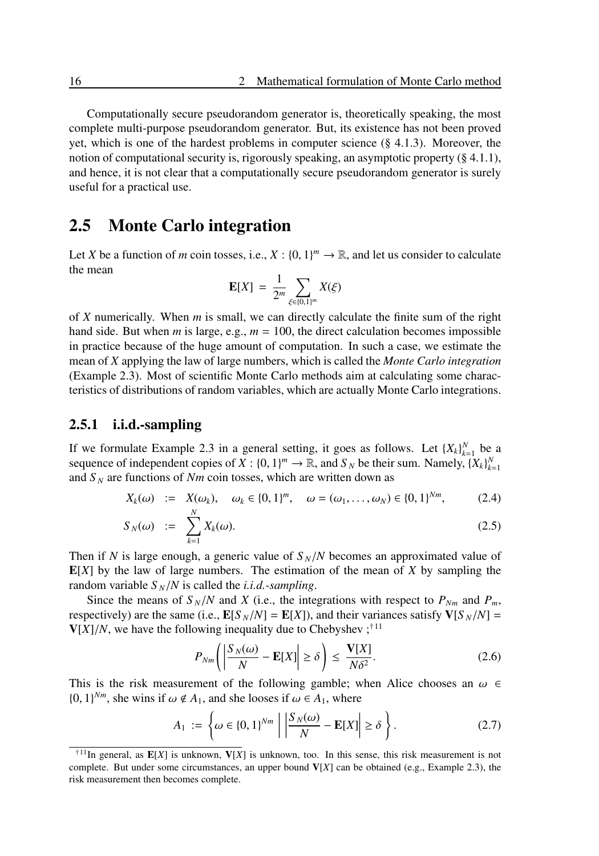Computationally secure pseudorandom generator is, theoretically speaking, the most complete multi-purpose pseudorandom generator. But, its existence has not been proved yet, which is one of the hardest problems in computer science (§ 4.1.3). Moreover, the notion of computational security is, rigorously speaking, an asymptotic property (§ 4.1.1), and hence, it is not clear that a computationally secure pseudorandom generator is surely useful for a practical use.

### 2.5 Monte Carlo integration

Let *X* be a function of *m* coin tosses, i.e.,  $X : \{0, 1\}^m \to \mathbb{R}$ , and let us consider to calculate the mean

$$
\mathbf{E}[X] = \frac{1}{2^m} \sum_{\xi \in \{0,1\}^m} X(\xi)
$$

of *X* numerically. When *m* is small, we can directly calculate the finite sum of the right hand side. But when *m* is large, e.g.,  $m = 100$ , the direct calculation becomes impossible in practice because of the huge amount of computation. In such a case, we estimate the mean of *X* applying the law of large numbers, which is called the *Monte Carlo integration* (Example 2.3). Most of scientific Monte Carlo methods aim at calculating some characteristics of distributions of random variables, which are actually Monte Carlo integrations.

#### 2.5.1 i.i.d.-sampling

If we formulate Example 2.3 in a general setting, it goes as follows. Let  ${X_k}_{k=1}^N$  be a sequence of independent copies of *X* :  $\{0, 1\}^m \to \mathbb{R}$ , and *S<sub>N</sub>* be their sum. Namely,  $\{X_k\}_{k=1}^N$ and  $S_N$  are functions of  $Nm$  coin tosses, which are written down as

$$
X_k(\omega) := X(\omega_k), \quad \omega_k \in \{0, 1\}^m, \quad \omega = (\omega_1, \dots, \omega_N) \in \{0, 1\}^{Nm}, \tag{2.4}
$$

$$
S_N(\omega) \quad := \quad \sum_{k=1}^N X_k(\omega). \tag{2.5}
$$

Then if *N* is large enough, a generic value of  $S_N/N$  becomes an approximated value of  $E[X]$  by the law of large numbers. The estimation of the mean of  $X$  by sampling the random variable  $S_N/N$  is called the *i.i.d.*-sampling.

Since the means of  $S_N/N$  and *X* (i.e., the integrations with respect to  $P_{Nm}$  and  $P_m$ , respectively) are the same (i.e.,  $\mathbf{E}[S_N/N] = \mathbf{E}[X]$ ), and their variances satisfy  $\mathbf{V}[S_N/N] =$  $V[X]/N$ , we have the following inequality due to Chebyshev;<sup>†11</sup>

$$
P_{Nm}\left(\left|\frac{S_N(\omega)}{N} - \mathbf{E}[X]\right| \ge \delta\right) \le \frac{\mathbf{V}[X]}{N\delta^2}.\tag{2.6}
$$

This is the risk measurement of the following gamble; when Alice chooses an  $\omega \in$  $\{0, 1\}^{Nm}$ , she wins if  $\omega \notin A_1$ , and she looses if  $\omega \in A_1$ , where

$$
A_1 := \left\{ \omega \in \{0, 1\}^{Nm} \mid \left| \frac{S_N(\omega)}{N} - \mathbf{E}[X] \right| \ge \delta \right\}.
$$
 (2.7)

<sup>&</sup>lt;sup>†11</sup>In general, as  $E[X]$  is unknown,  $V[X]$  is unknown, too. In this sense, this risk measurement is not complete. But under some circumstances, an upper bound  $V[X]$  can be obtained (e.g., Example 2.3), the risk measurement then becomes complete.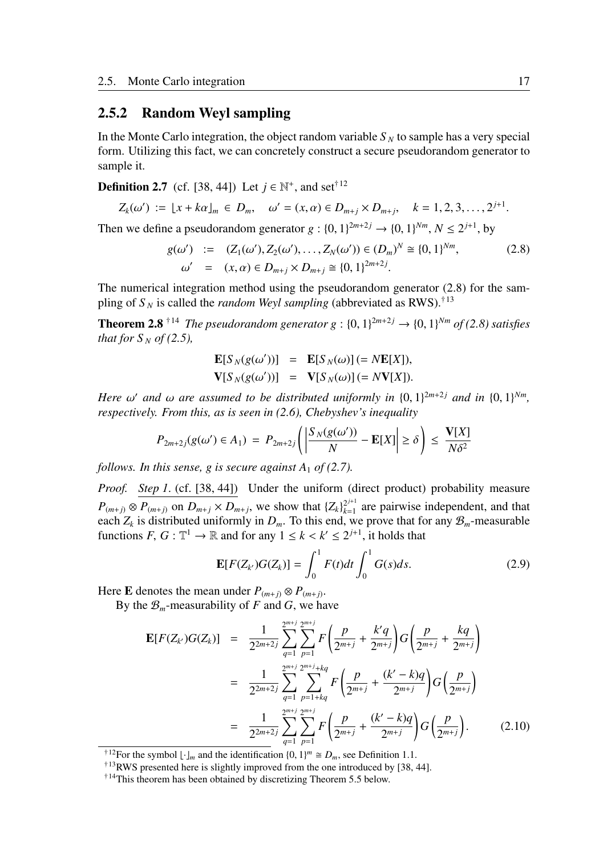#### 2.5.2 Random Weyl sampling

In the Monte Carlo integration, the object random variable  $S_N$  to sample has a very special form. Utilizing this fact, we can concretely construct a secure pseudorandom generator to sample it.

**Definition 2.7** (cf. [38, 44]) Let  $j \in \mathbb{N}^+$ , and set<sup>†12</sup>

$$
Z_k(\omega') := [x + k\alpha]_m \in D_m, \quad \omega' = (x, \alpha) \in D_{m+j} \times D_{m+j}, \quad k = 1, 2, 3, \dots, 2^{j+1}.
$$

Then we define a pseudorandom generator  $g : \{0, 1\}^{2m+2j} \rightarrow \{0, 1\}^{Nm}, N \leq 2^{j+1}$ , by

$$
g(\omega') := (Z_1(\omega'), Z_2(\omega'), \dots, Z_N(\omega')) \in (D_m)^N \cong \{0, 1\}^{Nm},
$$
  
\n
$$
\omega' = (x, \alpha) \in D_{m+j} \times D_{m+j} \cong \{0, 1\}^{2m+2j}.
$$
\n(2.8)

The numerical integration method using the pseudorandom generator (2.8) for the sampling of  $S_N$  is called the *random Weyl sampling* (abbreviated as RWS).<sup>†13</sup>

**Theorem 2.8** <sup>†14</sup> *The pseudorandom generator g* : {0, 1}<sup>2*m*+2*j*  $\rightarrow$  {0, 1}<sup>N*m*</sup> *of* (2.8) *satisfies*</sup> *that for*  $S_N$  *of* (2.5),

$$
\mathbf{E}[S_N(g(\omega'))] = \mathbf{E}[S_N(\omega)] (= N\mathbf{E}[X]),
$$
  

$$
\mathbf{V}[S_N(g(\omega'))] = \mathbf{V}[S_N(\omega)] (= N\mathbf{V}[X]).
$$

*Here*  $\omega'$  and  $\omega$  are assumed to be distributed uniformly in  $\{0, 1\}^{2m+2j}$  and in  $\{0, 1\}^{Nm}$ , *respectively. From this, as is seen in (2.6), Chebyshev's inequality*

$$
P_{2m+2j}(g(\omega') \in A_1) = P_{2m+2j}\left(\left|\frac{S_N(g(\omega'))}{N} - \mathbf{E}[X]\right| \ge \delta\right) \le \frac{\mathbf{V}[X]}{N\delta^2}
$$

*follows. In this sense, g is secure against A<sub>1</sub> <i>of (2.7).* 

*Proof.* Step 1. (cf. [38, 44]) Under the uniform (direct product) probability measure  $P_{(m+j)} \otimes P_{(m+j)}$  on  $D_{m+j} \times D_{m+j}$ , we show that  $\{Z_k\}_{k=1}^{2^{j+1}}$  $\frac{2^{j+1}}{k-1}$  are pairwise independent, and that each  $Z_k$  is distributed uniformly in  $D_m$ . To this end, we prove that for any  $\mathcal{B}_m$ -measurable functions  $F, G: \mathbb{T}^1 \to \mathbb{R}$  and for any  $1 \le k < k' \le 2^{j+1}$ , it holds that

$$
\mathbf{E}[F(Z_{k'})G(Z_{k})] = \int_0^1 F(t)dt \int_0^1 G(s)ds.
$$
 (2.9)

Here **E** denotes the mean under  $P_{(m+j)} \otimes P_{(m+j)}$ .

By the  $\mathcal{B}_m$ -measurability of *F* and *G*, we have

$$
\mathbf{E}[F(Z_{k'})G(Z_{k})] = \frac{1}{2^{2m+2j}} \sum_{q=1}^{2^{m+j}} \sum_{p=1}^{2^{m+j}} F\left(\frac{p}{2^{m+j}} + \frac{k'q}{2^{m+j}}\right) G\left(\frac{p}{2^{m+j}} + \frac{kq}{2^{m+j}}\right)
$$
  

$$
= \frac{1}{2^{2m+2j}} \sum_{q=1}^{2^{m+j}} \sum_{p=1+kq}^{2^{m+j}+kq} F\left(\frac{p}{2^{m+j}} + \frac{(k'-k)q}{2^{m+j}}\right) G\left(\frac{p}{2^{m+j}}\right)
$$
  

$$
= \frac{1}{2^{2m+2j}} \sum_{q=1}^{2^{m+j}} \sum_{p=1}^{2^{m+j}} F\left(\frac{p}{2^{m+j}} + \frac{(k'-k)q}{2^{m+j}}\right) G\left(\frac{p}{2^{m+j}}\right).
$$
 (2.10)

<sup>&</sup>lt;sup>†12</sup>For the symbol  $\lfloor \cdot \rfloor_m$  and the identification  $\{0, 1\}^m \cong D_m$ , see Definition 1.1.

<sup>†</sup><sup>13</sup>RWS presented here is slightly improved from the one introduced by [38, 44].

<sup>†</sup>14This theorem has been obtained by discretizing Theorem 5.5 below.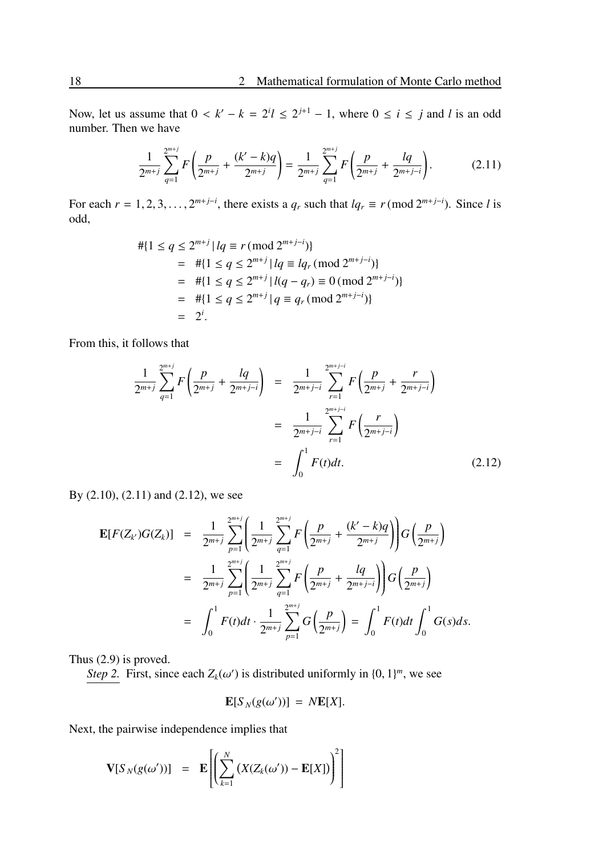Now, let us assume that  $0 < k' - k = 2^{i}l \le 2^{j+1} - 1$ , where  $0 \le i \le j$  and *l* is an odd number. Then we have

$$
\frac{1}{2^{m+j}}\sum_{q=1}^{2^{m+j}}F\left(\frac{p}{2^{m+j}}+\frac{(k'-k)q}{2^{m+j}}\right)=\frac{1}{2^{m+j}}\sum_{q=1}^{2^{m+j}}F\left(\frac{p}{2^{m+j}}+\frac{lq}{2^{m+j-i}}\right).
$$
 (2.11)

For each  $r = 1, 2, 3, \ldots, 2^{m+j-i}$ , there exists a  $q_r$  such that  $lq_r \equiv r \pmod{2^{m+j-i}}$ . Since *l* is odd,

$$
\begin{aligned} \# \{ 1 \le q \le 2^{m+j} \, | \, lq \equiv r \, (\text{mod } 2^{m+j-i}) \} \\ &= \# \{ 1 \le q \le 2^{m+j} \, | \, lq \equiv lq_r \, (\text{mod } 2^{m+j-i}) \} \\ &= \# \{ 1 \le q \le 2^{m+j} \, | \, l(q-q_r) \equiv 0 \, (\text{mod } 2^{m+j-i}) \} \\ &= \# \{ 1 \le q \le 2^{m+j} \, | \, q \equiv q_r \, (\text{mod } 2^{m+j-i}) \} \\ &= 2^i. \end{aligned}
$$

From this, it follows that

$$
\frac{1}{2^{m+j}}\sum_{q=1}^{2^{m+j}} F\left(\frac{p}{2^{m+j}} + \frac{lq}{2^{m+j-i}}\right) = \frac{1}{2^{m+j-i}}\sum_{r=1}^{2^{m+j-i}} F\left(\frac{p}{2^{m+j}} + \frac{r}{2^{m+j-i}}\right)
$$

$$
= \frac{1}{2^{m+j-i}}\sum_{r=1}^{2^{m+j-i}} F\left(\frac{r}{2^{m+j-i}}\right)
$$

$$
= \int_0^1 F(t)dt.
$$
(2.12)

By (2.10), (2.11) and (2.12), we see

$$
\mathbf{E}[F(Z_{k'})G(Z_k)] = \frac{1}{2^{m+j}} \sum_{p=1}^{2^{m+j}} \left( \frac{1}{2^{m+j}} \sum_{q=1}^{2^{m+j}} F\left(\frac{p}{2^{m+j}} + \frac{(k'-k)q}{2^{m+j}}\right) \right) G\left(\frac{p}{2^{m+j}}\right)
$$
  

$$
= \frac{1}{2^{m+j}} \sum_{p=1}^{2^{m+j}} \left( \frac{1}{2^{m+j}} \sum_{q=1}^{2^{m+j}} F\left(\frac{p}{2^{m+j}} + \frac{lq}{2^{m+j-i}}\right) \right) G\left(\frac{p}{2^{m+j}}\right)
$$
  

$$
= \int_0^1 F(t) dt \cdot \frac{1}{2^{m+j}} \sum_{p=1}^{2^{m+j}} G\left(\frac{p}{2^{m+j}}\right) = \int_0^1 F(t) dt \int_0^1 G(s) ds.
$$

Thus (2.9) is proved.

*Step 2.* First, since each  $Z_k(\omega')$  is distributed uniformly in  $\{0, 1\}^m$ , we see

$$
\mathbf{E}[S_N(g(\omega'))] = N\mathbf{E}[X].
$$

Next, the pairwise independence implies that

$$
\mathbf{V}[S_N(g(\omega'))] = \mathbf{E}\left[\left(\sum_{k=1}^N \left(X(Z_k(\omega')) - \mathbf{E}[X]\right)\right)^2\right]
$$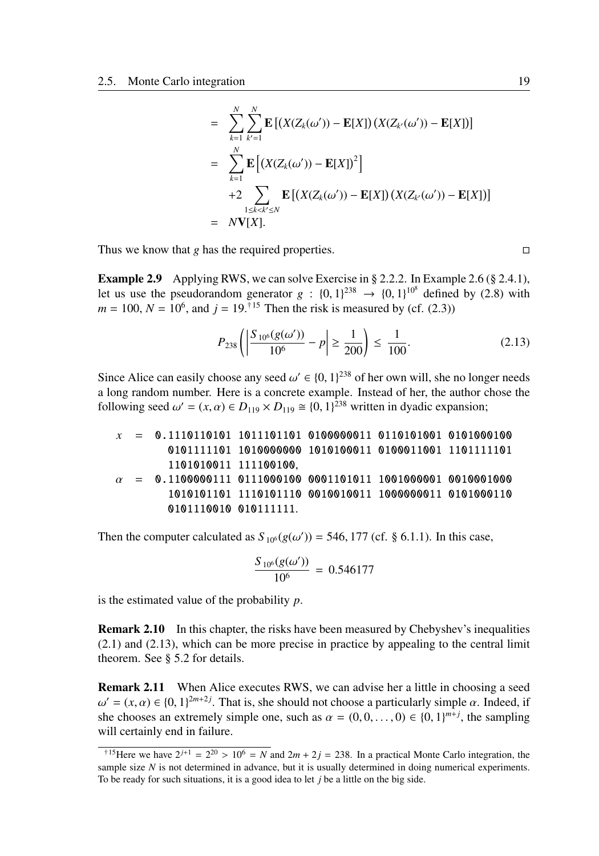$$
= \sum_{k=1}^{N} \sum_{k'=1}^{N} \mathbf{E} [(X(Z_k(\omega')) - \mathbf{E}[X]) (X(Z_{k'}(\omega')) - \mathbf{E}[X])]
$$
  
\n
$$
= \sum_{k=1}^{N} \mathbf{E} [(X(Z_k(\omega')) - \mathbf{E}[X])^{2}]
$$
  
\n
$$
+2 \sum_{1 \le k < k' \le N} \mathbf{E} [(X(Z_k(\omega')) - \mathbf{E}[X]) (X(Z_{k'}(\omega')) - \mathbf{E}[X])]
$$
  
\n
$$
= N\mathbf{V}[X].
$$

Thus we know that *g* has the required properties.  $\Box$ 

Example 2.9 Applying RWS, we can solve Exercise in § 2.2.2. In Example 2.6 (§ 2.4.1), let us use the pseudorandom generator  $g : \{0, 1\}^{238} \rightarrow \{0, 1\}^{10^8}$  defined by (2.8) with  $m = 100$ ,  $N = 10^6$ , and  $j = 19$ .<sup>†15</sup> Then the risk is measured by (cf. (2.3))

$$
P_{238}\left(\left|\frac{S_{10^6}(g(\omega'))}{10^6} - p\right| \ge \frac{1}{200}\right) \le \frac{1}{100}.\tag{2.13}
$$

Since Alice can easily choose any seed  $\omega' \in \{0, 1\}^{238}$  of her own will, she no longer needs a long random number. Here is a concrete example. Instead of her, the author chose the following seed  $\omega' = (x, \alpha) \in D_{119} \times D_{119} \cong \{0, 1\}^{238}$  written in dyadic expansion;

| $x$         | =          | 0.1110110101 | 1011101101 | 01000000011 | 0110101001 | 0101000100 |
|-------------|------------|--------------|------------|-------------|------------|------------|
| 0101111101  | 1010000000 | 1010100011   | 0100011001 | 1101111101  |            |            |
| 1101010011  | 111100100, |              |            |             |            |            |
| $\alpha$    | =          | 0.1100000111 | 0111000100 | 0001101011  | 1001000001 | 0010001000 |
| 10101011101 | 1110101110 | 0010010011   | 1000000011 | 0101000110  |            |            |
| 0101110010  | 010111111. |              |            |             |            |            |

Then the computer calculated as  $S_{10^6}(g(\omega')) = 546, 177$  (cf. § 6.1.1). In this case,

$$
\frac{S_{10^6}(g(\omega'))}{10^6} = 0.546177
$$

is the estimated value of the probability *p*.

**Remark 2.10** In this chapter, the risks have been measured by Chebyshev's inequalities (2.1) and (2.13), which can be more precise in practice by appealing to the central limit theorem. See § 5.2 for details.

Remark 2.11 When Alice executes RWS, we can advise her a little in choosing a seed  $\omega' = (x, \alpha) \in \{0, 1\}^{2m+2j}$ . That is, she should not choose a particularly simple  $\alpha$ . Indeed, if she chooses an extremely simple one, such as  $\alpha = (0, 0, \dots, 0) \in \{0, 1\}^{m+j}$ , the sampling will certainly end in failure.

<sup>&</sup>lt;sup> $\dagger$ 15</sup>Here we have  $2^{j+1} = 2^{20} > 10^6 = N$  and  $2m + 2j = 238$ . In a practical Monte Carlo integration, the sample size *N* is not determined in advance, but it is usually determined in doing numerical experiments. To be ready for such situations, it is a good idea to let *j* be a little on the big side.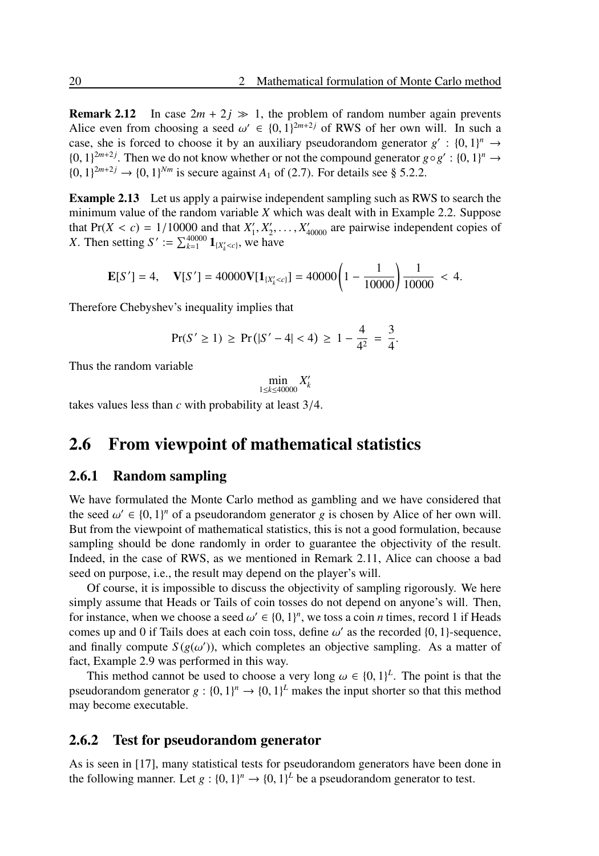**Remark 2.12** In case  $2m + 2j \gg 1$ , the problem of random number again prevents Alice even from choosing a seed  $\omega' \in \{0, 1\}^{2m+2j}$  of RWS of her own will. In such a case, she is forced to choose it by an auxiliary pseudorandom generator  $g' : \{0, 1\}^n \to$ {0, 1}<sup>2*m*+2*j*</sup>. Then we do not know whether or not the compound generator *g*◦*g*<sup>'</sup> : {0, 1}<sup>*n*</sup> →  $\{0, 1\}^{2m+2j} \to \{0, 1\}^{Nm}$  is secure against  $A_1$  of (2.7). For details see § 5.2.2.

Example 2.13 Let us apply a pairwise independent sampling such as RWS to search the minimum value of the random variable *X* which was dealt with in Example 2.2. Suppose that  $Pr(X < c) = 1/10000$  and that  $X'_1, X'_2, \ldots, X'_{40000}$  are pairwise independent copies of *X*. Then setting *S*' :=  $\sum_{k=1}^{40000} \mathbf{1}_{\{X'_{k} < c\}}$ , we have

$$
\mathbf{E}[S'] = 4, \quad \mathbf{V}[S'] = 40000\mathbf{V}[1_{\{X'_{k} < c\}}] = 40000\left(1 - \frac{1}{10000}\right)\frac{1}{10000} < 4.
$$

Therefore Chebyshev's inequality implies that

$$
Pr(S' \ge 1) \ge Pr(|S' - 4| < 4) \ge 1 - \frac{4}{4^2} = \frac{3}{4}.
$$

Thus the random variable

$$
\min_{1 \le k \le 40000} X'_k
$$

takes values less than *c* with probability at least 3/4.

## 2.6 From viewpoint of mathematical statistics

#### 2.6.1 Random sampling

We have formulated the Monte Carlo method as gambling and we have considered that the seed  $\omega' \in \{0, 1\}^n$  of a pseudorandom generator *g* is chosen by Alice of her own will. But from the viewpoint of mathematical statistics, this is not a good formulation, because sampling should be done randomly in order to guarantee the objectivity of the result. Indeed, in the case of RWS, as we mentioned in Remark 2.11, Alice can choose a bad seed on purpose, i.e., the result may depend on the player's will.

Of course, it is impossible to discuss the objectivity of sampling rigorously. We here simply assume that Heads or Tails of coin tosses do not depend on anyone's will. Then, for instance, when we choose a seed  $\omega' \in \{0, 1\}^n$ , we toss a coin *n* times, record 1 if Heads comes up and 0 if Tails does at each coin toss, define  $\omega'$  as the recorded  $\{0, 1\}$ -sequence, and finally compute  $S(g(\omega'))$ , which completes an objective sampling. As a matter of fact, Example 2.9 was performed in this way.

This method cannot be used to choose a very long  $\omega \in \{0, 1\}^L$ . The point is that the pseudorandom generator  $g: \{0, 1\}^n \to \{0, 1\}^L$  makes the input shorter so that this method may become executable.

#### 2.6.2 Test for pseudorandom generator

As is seen in [17], many statistical tests for pseudorandom generators have been done in the following manner. Let  $g: \{0, 1\}^n \to \{0, 1\}^L$  be a pseudorandom generator to test.